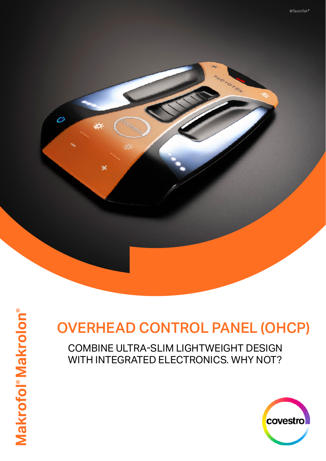

# OVERHEAD CONTROL PANEL (OHCP)

COMBINE ULTRA-SLIM LIGHTWEIGHT DESIGN WITH INTEGRATED ELECTRONICS. WHY NOT?